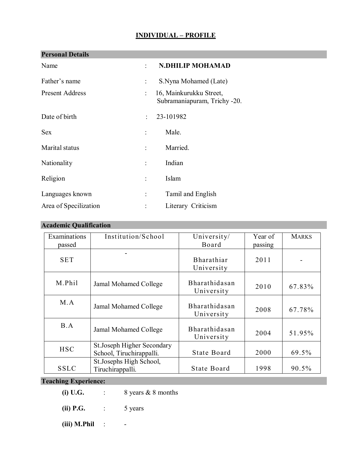## **INDIVIDUAL – PROFILE**

| <b>Personal Details</b> |                      |                                                         |
|-------------------------|----------------------|---------------------------------------------------------|
| Name                    | ۰,                   | <b>N.DHILIP MOHAMAD</b>                                 |
| Father's name           |                      | S.Nyna Mohamed (Late)                                   |
| <b>Present Address</b>  |                      | 16, Mainkurukku Street,<br>Subramaniapuram, Trichy -20. |
| Date of birth           | ÷                    | 23-101982                                               |
| <b>Sex</b>              |                      | Male.                                                   |
| Marital status          |                      | Married.                                                |
| Nationality             | $\ddot{\phantom{a}}$ | Indian                                                  |
| Religion                |                      | Islam                                                   |
| Languages known         | ÷                    | Tamil and English                                       |
| Area of Specilization   |                      | Literary Criticism                                      |

## **Academic Qualification**

| Examinations<br>passed | Institution/School                                      | University/<br>Board            | Year of<br>passing | <b>MARKS</b> |
|------------------------|---------------------------------------------------------|---------------------------------|--------------------|--------------|
| <b>SET</b>             |                                                         | <b>Bharathiar</b><br>University | 2011               |              |
| M.Phil                 | Jamal Mohamed College                                   | Bharathidasan<br>University     | 2010               | 67.83%       |
| M.A                    | Jamal Mohamed College                                   | Bharathidasan<br>University     | 2008               | 67.78%       |
| B.A                    | Jamal Mohamed College                                   | Bharathidasan<br>University     | 2004               | 51.95%       |
| <b>HSC</b>             | St. Joseph Higher Secondary<br>School, Tiruchirappalli. | State Board                     | 2000               | 69.5%        |
| <b>SSLC</b>            | St. Josephs High School,<br>Tiruchirappalli.            | State Board                     | 1998               | 90.5%        |

# **Teaching Experience:**

- **(i) U.G.** : 8 years & 8 months
- **(ii) P.G.** : 5 years
- **(iii) M.Phil** : -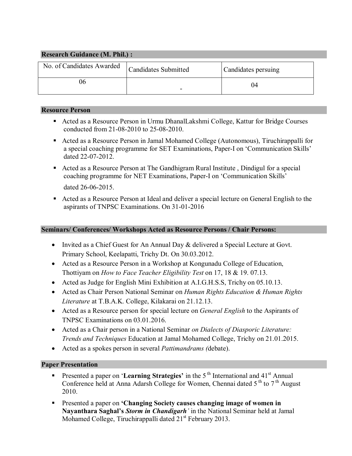| <b>Research Guidance (M. Phil.):</b> |                             |                     |  |  |  |  |
|--------------------------------------|-----------------------------|---------------------|--|--|--|--|
| No. of Candidates Awarded            | <b>Candidates Submitted</b> | Candidates persuing |  |  |  |  |
|                                      |                             | 04                  |  |  |  |  |

#### **Resource Person**

- Acted as a Resource Person in Urmu DhanalLakshmi College, Kattur for Bridge Courses conducted from 21-08-2010 to 25-08-2010.
- Acted as a Resource Person in Jamal Mohamed College (Autonomous), Tiruchirappalli for a special coaching programme for SET Examinations, Paper-I on 'Communication Skills' dated 22-07-2012.
- Acted as a Resource Person at The Gandhigram Rural Institute , Dindigul for a special coaching programme for NET Examinations, Paper-I on 'Communication Skills' dated 26-06-2015.
- Acted as a Resource Person at Ideal and deliver a special lecture on General English to the aspirants of TNPSC Examinations. On 31-01-2016

### **Seminars/ Conferences/ Workshops Acted as Resource Persons / Chair Persons:**

- Invited as a Chief Guest for An Annual Day & delivered a Special Lecture at Govt. Primary School, Keelapatti, Trichy Dt. On 30.03.2012.
- Acted as a Resource Person in a Workshop at Kongunadu College of Education, Thottiyam on *How to Face Teacher Eligibility Test* on 17, 18 & 19. 07.13.
- Acted as Judge for English Mini Exhibition at A.I.G.H.S.S, Trichy on 05.10.13.
- Acted as Chair Person National Seminar on *Human Rights Education & Human Rights Literature* at T.B.A.K. College, Kilakarai on 21.12.13.
- Acted as a Resource person for special lecture on *General English* to the Aspirants of TNPSC Examinations on 03.01.2016.
- Acted as a Chair person in a National Seminar *on Dialects of Diasporic Literature: Trends and Techniques* Education at Jamal Mohamed College, Trichy on 21.01.2015.
- Acted as a spokes person in several *Pattimandrams (*debate).

#### **Paper Presentation**

- **Presented a paper on 'Learning Strategies'** in the 5<sup>th</sup> International and 41<sup>st</sup> Annual Conference held at Anna Adarsh College for Women, Chennai dated 5<sup>th</sup> to 7<sup>th</sup> August 2010.
- Presented a paper on **'Changing Society causes changing image of women in Nayanthara Saghal's** *Storm in Chandigarh'* in the National Seminar held at Jamal Mohamed College, Tiruchirappalli dated  $21<sup>st</sup>$  February 2013.